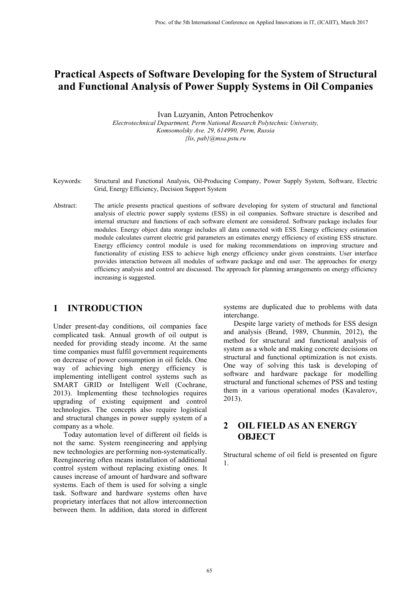# **Practical Aspects of Software Developing for the System of Structural and Functional Analysis of Power Supply Systems in Oil Companies**

Ivan Luzyanin, Anton Petrochenkov *Electrotechnical Department, Perm National Research Polytechnic University, Komsomolsky Ave. 29, 614990, Perm, Russia {lis, pab}@msa.pstu.ru*

- Keywords: Structural and Functional Analysis, Oil-Producing Company, Power Supply System, Software, Electric Grid, Energy Efficiency, Decision Support System
- Abstract: The article presents practical questions of software developing for system of structural and functional analysis of electric power supply systems (ESS) in oil companies. Software structure is described and internal structure and functions of each software element are considered. Software package includes four modules. Energy object data storage includes all data connected with ESS. Energy efficiency estimation module calculates current electric grid parameters an estimates energy efficiency of existing ESS structure. Energy efficiency control module is used for making recommendations on improving structure and functionality of existing ESS to achieve high energy efficiency under given constraints. User interface provides interaction between all modules of software package and end user. The approaches for energy efficiency analysis and control are discussed. The approach for planning arrangements on energy efficiency increasing is suggested.

#### **1 INTRODUCTION**

Under present-day conditions, oil companies face complicated task. Annual growth of oil output is needed for providing steady income. At the same time companies must fulfil government requirements on decrease of power consumption in oil fields. One way of achieving high energy efficiency is implementing intelligent control systems such as SMART GRID or Intelligent Well (Cochrane, 2013). Implementing these technologies requires upgrading of existing equipment and control technologies. The concepts also require logistical and structural changes in power supply system of a company as a whole.

Today automation level of different oil fields is not the same. System reengineering and applying new technologies are performing non-systematically. Reengineering often means installation of additional control system without replacing existing ones. It causes increase of amount of hardware and software systems. Each of them is used for solving a single task. Software and hardware systems often have proprietary interfaces that not allow interconnection between them. In addition, data stored in different

systems are duplicated due to problems with data interchange.

Despite large variety of methods for ESS design and analysis (Brand, 1989, Chunmin, 2012), the method for structural and functional analysis of system as a whole and making concrete decisions on structural and functional optimization is not exists. One way of solving this task is developing of software and hardware package for modelling structural and functional schemes of PSS and testing them in a various operational modes (Kavalerov, 2013).

### **2 OIL FIELD AS AN ENERGY OBJECT**

Structural scheme of oil field is presented on figure 1.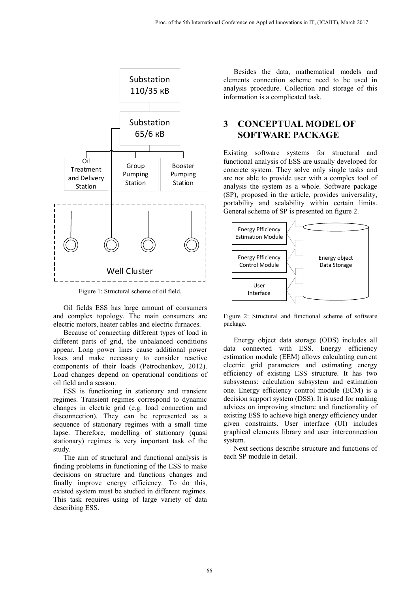

Figure 1: Structural scheme of oil field.

Oil fields ESS has large amount of consumers and complex topology. The main consumers are electric motors, heater cables and electric furnaces.

Because of connecting different types of load in different parts of grid, the unbalanced conditions appear. Long power lines cause additional power loses and make necessary to consider reactive components of their loads (Petrochenkov, 2012). Load changes depend on operational conditions of oil field and a season.

ESS is functioning in stationary and transient regimes. Transient regimes correspond to dynamic changes in electric grid (e.g. load connection and disconnection). They can be represented as a sequence of stationary regimes with a small time lapse. Therefore, modelling of stationary (quasi stationary) regimes is very important task of the study.

The aim of structural and functional analysis is finding problems in functioning of the ESS to make decisions on structure and functions changes and finally improve energy efficiency. To do this, existed system must be studied in different regimes. This task requires using of large variety of data describing ESS.

Besides the data, mathematical models and elements connection scheme need to be used in analysis procedure. Collection and storage of this information is a complicated task.

### **3 CONCEPTUAL MODEL OF SOFTWARE PACKAGE**

Existing software systems for structural and functional analysis of ESS are usually developed for concrete system. They solve only single tasks and are not able to provide user with a complex tool of analysis the system as a whole. Software package (SP), proposed in the article, provides universality, portability and scalability within certain limits. General scheme of SP is presented on figure 2.



Figure 2: Structural and functional scheme of software package.

Energy object data storage (ODS) includes all data connected with ESS. Energy efficiency estimation module (EEM) allows calculating current electric grid parameters and estimating energy efficiency of existing ESS structure. It has two subsystems: calculation subsystem and estimation one. Energy efficiency control module (ECM) is a decision support system (DSS). It is used for making advices on improving structure and functionality of existing ESS to achieve high energy efficiency under given constraints. User interface (UI) includes graphical elements library and user interconnection system.

Next sections describe structure and functions of each SP module in detail.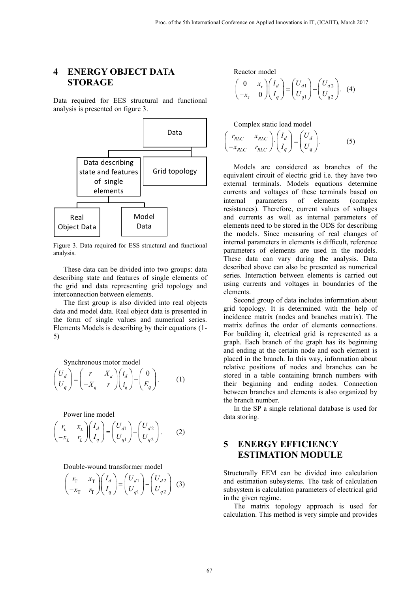#### **4 ENERGY OBJECT DATA STORAGE**

Data required for EES structural and functional analysis is presented on figure 3.



Figure 3. Data required for ESS structural and functional analysis.

These data can be divided into two groups: data describing state and features of single elements of the grid and data representing grid topology and interconnection between elements.

The first group is also divided into real objects data and model data. Real object data is presented in the form of single values and numerical series. Elements Models is describing by their equations (1- 5)

Synchronous motor model

$$
\begin{pmatrix} U_d \\ U_q \end{pmatrix} = \begin{pmatrix} r & X_d \\ -X_q & r \end{pmatrix} \begin{pmatrix} i_d \\ i_q \end{pmatrix} + \begin{pmatrix} 0 \\ E_q \end{pmatrix}.
$$
 (1)

Power line model

$$
\begin{pmatrix} r_L & x_L \\ -x_L & r_L \end{pmatrix} \begin{pmatrix} I_d \\ I_q \end{pmatrix} = \begin{pmatrix} U_{d1} \\ U_{q1} \end{pmatrix} - \begin{pmatrix} U_{d2} \\ U_{q2} \end{pmatrix}.
$$
 (2)

Double-wound transformer model

$$
\begin{pmatrix} r_{\rm T} & x_{\rm T} \\ -x_{\rm T} & r_{\rm T} \end{pmatrix} \begin{pmatrix} I_d \\ I_q \end{pmatrix} = \begin{pmatrix} U_{d1} \\ U_{q1} \end{pmatrix} - \begin{pmatrix} U_{d2} \\ U_{q2} \end{pmatrix} \tag{3}
$$

Reactor model

$$
\begin{pmatrix} 0 & x_{r} \\ -x_{r} & 0 \end{pmatrix} \begin{pmatrix} I_{d} \\ I_{q} \end{pmatrix} = \begin{pmatrix} U_{d1} \\ U_{q1} \end{pmatrix} - \begin{pmatrix} U_{d2} \\ U_{q2} \end{pmatrix}.
$$
 (4)

Complex static load model

$$
\begin{pmatrix} r_{RLC} & x_{RLC} \\ -x_{RLC} & r_{RLC} \end{pmatrix} \cdot \begin{pmatrix} I_d \\ I_q \end{pmatrix} = \begin{pmatrix} U_d \\ U_q \end{pmatrix}.
$$
 (5)

Models are considered as branches of the equivalent circuit of electric grid i.e. they have two external terminals. Models equations determine currents and voltages of these terminals based on internal parameters of elements (complex resistances). Therefore, current values of voltages and currents as well as internal parameters of elements need to be stored in the ODS for describing the models. Since measuring of real changes of internal parameters in elements is difficult, reference parameters of elements are used in the models. These data can vary during the analysis. Data described above can also be presented as numerical series. Interaction between elements is carried out using currents and voltages in boundaries of the elements.

Second group of data includes information about grid topology. It is determined with the help of incidence matrix (nodes and branches matrix). The matrix defines the order of elements connections. For building it, electrical grid is represented as a graph. Each branch of the graph has its beginning and ending at the certain node and each element is placed in the branch. In this way, information about relative positions of nodes and branches can be stored in a table containing branch numbers with their beginning and ending nodes. Connection between branches and elements is also organized by the branch number.

In the SP a single relational database is used for data storing.

### **5 ENERGY EFFICIENCY ESTIMATION MODULE**

Structurally EEM can be divided into calculation and estimation subsystems. The task of calculation subsystem is calculation parameters of electrical grid in the given regime.

The matrix topology approach is used for calculation. This method is very simple and provides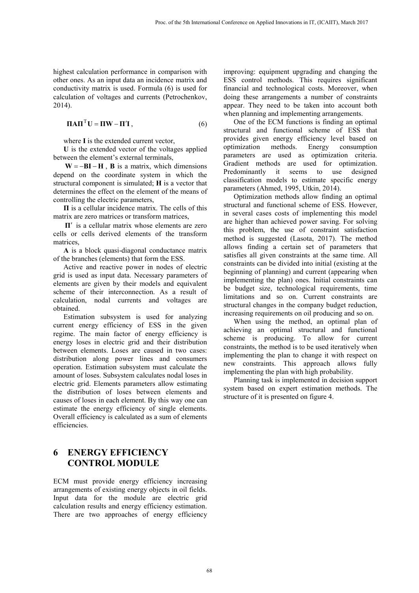highest calculation performance in comparison with other ones. As an input data an incidence matrix and conductivity matrix is used. Formula (6) is used for calculation of voltages and currents (Petrochenkov, 2014).

$$
\mathbf{\Pi} \mathbf{A} \mathbf{\Pi}^{\mathrm{T}} \mathbf{U} = \mathbf{\Pi} \mathbf{W} - \mathbf{\Pi}' \mathbf{I},\tag{6}
$$

where **I** is the extended current vector,

**U** is the extended vector of the voltages applied between the element's external terminals,

 $W = -BI - H$ , **B** is a matrix, which dimensions depend on the coordinate system in which the structural component is simulated; **H** is a vector that determines the effect on the element of the means of controlling the electric parameters,

**П** is a cellular incidence matrix. The cells of this matrix are zero matrices or transform matrices,

**П**′ is a cellular matrix whose elements are zero cells or cells derived elements of the transform matrices,

**A** is a block quasi-diagonal conductance matrix of the branches (elements) that form the ESS.

Active and reactive power in nodes of electric grid is used as input data. Necessary parameters of elements are given by their models and equivalent scheme of their interconnection. As a result of calculation, nodal currents and voltages are obtained.

Estimation subsystem is used for analyzing current energy efficiency of ESS in the given regime. The main factor of energy efficiency is energy loses in electric grid and their distribution between elements. Loses are caused in two cases: distribution along power lines and consumers operation. Estimation subsystem must calculate the amount of loses. Subsystem calculates nodal loses in electric grid. Elements parameters allow estimating the distribution of loses between elements and causes of loses in each element. By this way one can estimate the energy efficiency of single elements. Overall efficiency is calculated as a sum of elements efficiencies.

### **6 ENERGY EFFICIENCY CONTROL MODULE**

ECM must provide energy efficiency increasing arrangements of existing energy objects in oil fields. Input data for the module are electric grid calculation results and energy efficiency estimation. There are two approaches of energy efficiency improving: equipment upgrading and changing the ESS control methods. This requires significant financial and technological costs. Moreover, when doing these arrangements a number of constraints appear. They need to be taken into account both when planning and implementing arrangements.

One of the ECM functions is finding an optimal structural and functional scheme of ESS that provides given energy efficiency level based on optimization methods. Energy consumption parameters are used as optimization criteria. Gradient methods are used for optimization. Predominantly it seems to use designed classification models to estimate specific energy parameters (Ahmed, 1995, Utkin, 2014).

Optimization methods allow finding an optimal structural and functional scheme of ESS. However, in several cases costs of implementing this model are higher than achieved power saving. For solving this problem, the use of constraint satisfaction method is suggested (Lasota, 2017). The method allows finding a certain set of parameters that satisfies all given constraints at the same time. All constraints can be divided into initial (existing at the beginning of planning) and current (appearing when implementing the plan) ones. Initial constraints can be budget size, technological requirements, time limitations and so on. Current constraints are structural changes in the company budget reduction, increasing requirements on oil producing and so on.

When using the method, an optimal plan of achieving an optimal structural and functional scheme is producing. To allow for current constraints, the method is to be used iteratively when implementing the plan to change it with respect on new constraints. This approach allows fully implementing the plan with high probability.

Planning task is implemented in decision support system based on expert estimation methods. The structure of it is presented on figure 4.